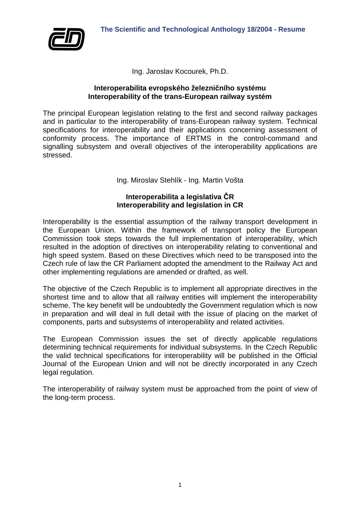

Ing. Jaroslav Kocourek, Ph.D.

#### **Interoperabilita evropského železničního systému Interoperability of the trans-European railway systém**

The principal European legislation relating to the first and second railway packages and in particular to the interoperability of trans-European railway system. Technical specifications for interoperability and their applications concerning assessment of conformity process. The importance of ERTMS in the control-command and signalling subsystem and overall objectives of the interoperability applications are stressed.

Ing. Miroslav Stehlík - Ing. Martin Vošta

### **Interoperabilita a legislativa ČR Interoperability and legislation in CR**

Interoperability is the essential assumption of the railway transport development in the European Union. Within the framework of transport policy the European Commission took steps towards the full implementation of interoperability, which resulted in the adoption of directives on interoperability relating to conventional and high speed system. Based on these Directives which need to be transposed into the Czech rule of law the CR Parliament adopted the amendment to the Railway Act and other implementing regulations are amended or drafted, as well.

The objective of the Czech Republic is to implement all appropriate directives in the shortest time and to allow that all railway entities will implement the interoperability scheme. The key benefit will be undoubtedly the Government regulation which is now in preparation and will deal in full detail with the issue of placing on the market of components, parts and subsystems of interoperability and related activities.

The European Commission issues the set of directly applicable regulations determining technical requirements for individual subsystems. In the Czech Republic the valid technical specifications for interoperability will be published in the Official Journal of the European Union and will not be directly incorporated in any Czech legal regulation.

The interoperability of railway system must be approached from the point of view of the long-term process.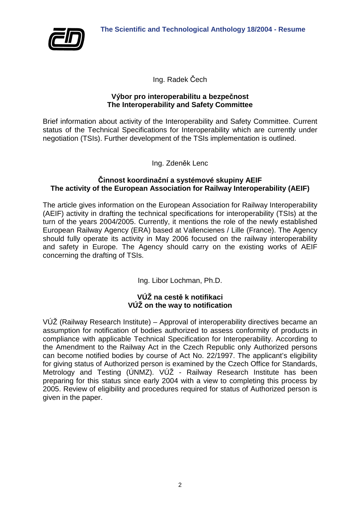

Ing. Radek Čech

### **Výbor pro interoperabilitu a bezpečnost The Interoperability and Safety Committee**

Brief information about activity of the Interoperability and Safety Committee. Current status of the Technical Specifications for Interoperability which are currently under negotiation (TSIs). Further development of the TSIs implementation is outlined.

Ing. Zdeněk Lenc

#### **Činnost koordinační a systémové skupiny AEIF The activity of the European Association for Railway Interoperability (AEIF)**

The article gives information on the European Association for Railway Interoperability (AEIF) activity in drafting the technical specifications for interoperability (TSIs) at the turn of the years 2004/2005. Currently, it mentions the role of the newly established European Railway Agency (ERA) based at Vallencienes / Lille (France). The Agency should fully operate its activity in May 2006 focused on the railway interoperability and safety in Europe. The Agency should carry on the existing works of AEIF concerning the drafting of TSIs.

Ing. Libor Lochman, Ph.D.

# **VÚŽ na cestě k notifikaci VÚŽ on the way to notification**

VÚŽ (Railway Research Institute) – Approval of interoperability directives became an assumption for notification of bodies authorized to assess conformity of products in compliance with applicable Technical Specification for Interoperability. According to the Amendment to the Railway Act in the Czech Republic only Authorized persons can become notified bodies by course of Act No. 22/1997. The applicant's eligibility for giving status of Authorized person is examined by the Czech Office for Standards, Metrology and Testing (ÚNMZ). VÚŽ - Railway Research Institute has been preparing for this status since early 2004 with a view to completing this process by 2005. Review of eligibility and procedures required for status of Authorized person is given in the paper.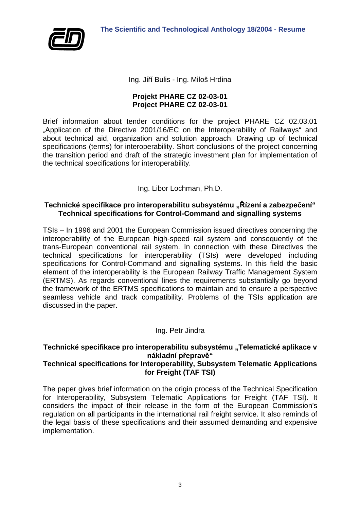

Ing. Jiří Bulis - Ing. Miloš Hrdina

#### **Projekt PHARE CZ 02-03-01 Project PHARE CZ 02-03-01**

Brief information about tender conditions for the project PHARE CZ 02.03.01 "Application of the Directive 2001/16/EC on the Interoperability of Railways" and about technical aid, organization and solution approach. Drawing up of technical specifications (terms) for interoperability. Short conclusions of the project concerning the transition period and draft of the strategic investment plan for implementation of the technical specifications for interoperability.

Ing. Libor Lochman, Ph.D.

## **Technické specifikace pro interoperabilitu subsystému "Řízení a zabezpečení" Technical specifications for Control-Command and signalling systems**

TSIs – In 1996 and 2001 the European Commission issued directives concerning the interoperability of the European high-speed rail system and consequently of the trans-European conventional rail system. In connection with these Directives the technical specifications for interoperability (TSIs) were developed including specifications for Control-Command and signalling systems. In this field the basic element of the interoperability is the European Railway Traffic Management System (ERTMS). As regards conventional lines the requirements substantially go beyond the framework of the ERTMS specifications to maintain and to ensure a perspective seamless vehicle and track compatibility. Problems of the TSIs application are discussed in the paper.

# Ing. Petr Jindra

# Technické specifikace pro interoperabilitu subsystému "Telematické aplikace v **nákladní přepravě"**

#### **Technical specifications for Interoperability, Subsystem Telematic Applications for Freight (TAF TSI)**

The paper gives brief information on the origin process of the Technical Specification for Interoperability, Subsystem Telematic Applications for Freight (TAF TSI). It considers the impact of their release in the form of the European Commission's regulation on all participants in the international rail freight service. It also reminds of the legal basis of these specifications and their assumed demanding and expensive implementation.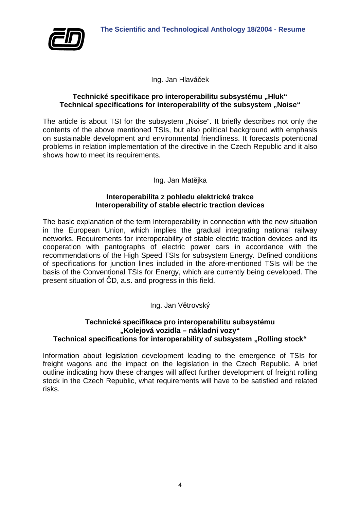

Ing. Jan Hlaváček

#### Technické specifikace pro interoperabilitu subsystému "Hluk" **Technical specifications for interoperability of the subsystem ..Noise"**

The article is about TSI for the subsystem "Noise". It briefly describes not only the contents of the above mentioned TSIs, but also political background with emphasis on sustainable development and environmental friendliness. It forecasts potentional problems in relation implementation of the directive in the Czech Republic and it also shows how to meet its requirements.

## Ing. Jan Matějka

#### **Interoperabilita z pohledu elektrické trakce Interoperability of stable electric traction devices**

The basic explanation of the term Interoperability in connection with the new situation in the European Union, which implies the gradual integrating national railway networks. Requirements for interoperability of stable electric traction devices and its cooperation with pantographs of electric power cars in accordance with the recommendations of the High Speed TSIs for subsystem Energy. Defined conditions of specifications for junction lines included in the afore-mentioned TSIs will be the basis of the Conventional TSIs for Energy, which are currently being developed. The present situation of ČD, a.s. and progress in this field.

# Ing. Jan Větrovský

#### **Technické specifikace pro interoperabilitu subsystému "Kolejová vozidla – nákladní vozy"** Technical specifications for interoperability of subsystem "Rolling stock"

Information about legislation development leading to the emergence of TSIs for freight wagons and the impact on the legislation in the Czech Republic. A brief outline indicating how these changes will affect further development of freight rolling stock in the Czech Republic, what requirements will have to be satisfied and related risks.